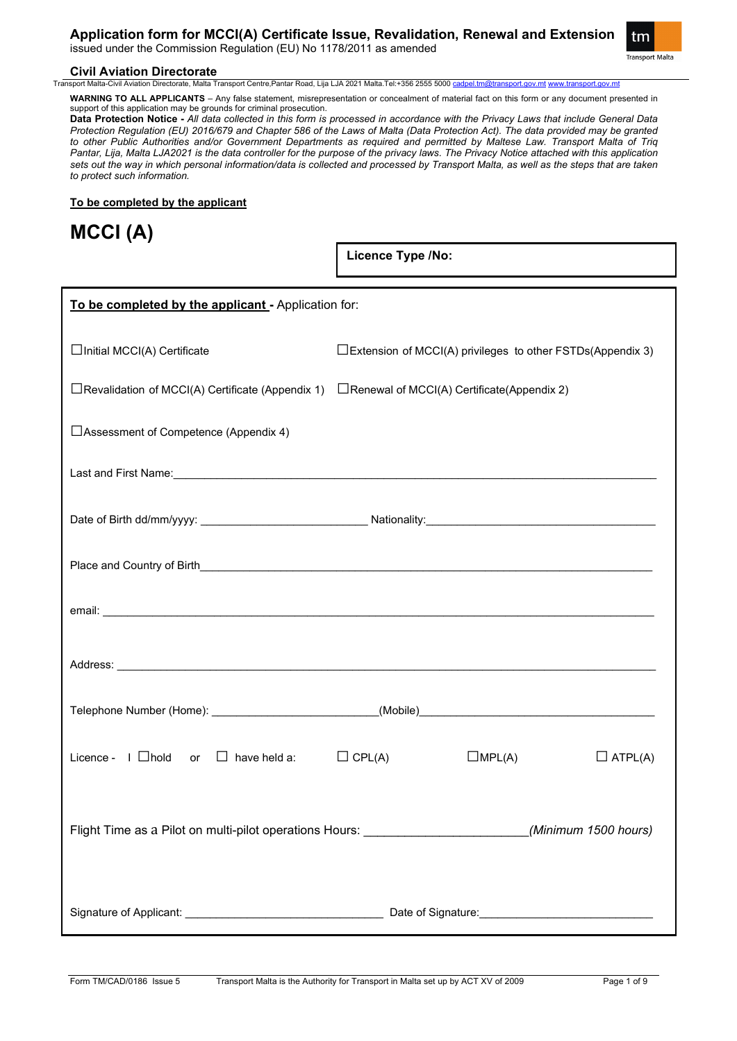**Application form for MCCI(A) Certificate Issue, Revalidation, Renewal and Extension**

issued under the Commission Regulation (EU) No 1178/2011 as amended



# **Civil Aviation Directorate**<br>Transport Malta-Civil Aviation Directorate. Malta T

a Transport Centre,Pantar Road, Lija LJA 2021 Malta.Tel:+356 2555 5000 <u>[cadpel.tm@transport.gov.mt](mailto:cadpel.tm@transport.gov.mt) www.tran</u>:

**WARNING TO ALL APPLICANTS** – Any false statement, misrepresentation or concealment of material fact on this form or any document presented in support of this application may be grounds for criminal prosecution.

**Data Protection Notice -** *All data collected in this form is processed in accordance with the Privacy Laws that include General Data Protection Regulation (EU) 2016/679 and Chapter 586 of the Laws of Malta (Data Protection Act). The data provided may be granted to other Public Authorities and/or Government Departments as required and permitted by Maltese Law. Transport Malta of Triq Pantar, Lija, Malta LJA2021 is the data controller for the purpose of the privacy laws. The Privacy Notice attached with this application sets out the way in which personal information/data is collected and processed by Transport Malta, as well as the steps that are taken to protect such information.*

### **To be completed by the applicant**

**MCCI (A)**

**Licence Type /No:** 

| To be completed by the applicant - Application for:                                                       |                  |                                                                      |
|-----------------------------------------------------------------------------------------------------------|------------------|----------------------------------------------------------------------|
| $\Box$ Initial MCCI(A) Certificate                                                                        |                  | $\square$ Extension of MCCI(A) privileges to other FSTDs(Appendix 3) |
| $\Box$ Revalidation of MCCI(A) Certificate (Appendix 1) $\Box$ Renewal of MCCI(A) Certificate(Appendix 2) |                  |                                                                      |
| □ Assessment of Competence (Appendix 4)                                                                   |                  |                                                                      |
|                                                                                                           |                  |                                                                      |
|                                                                                                           |                  |                                                                      |
|                                                                                                           |                  |                                                                      |
|                                                                                                           |                  |                                                                      |
|                                                                                                           |                  |                                                                      |
|                                                                                                           |                  |                                                                      |
| Licence - $\Box$ hold or $\Box$ have held a: $\Box$ CPL(A)                                                | $\square$ MPL(A) | $\Box$ ATPL(A)                                                       |
| Flight Time as a Pilot on multi-pilot operations Hours: ________________________(Minimum 1500 hours)      |                  |                                                                      |
|                                                                                                           |                  |                                                                      |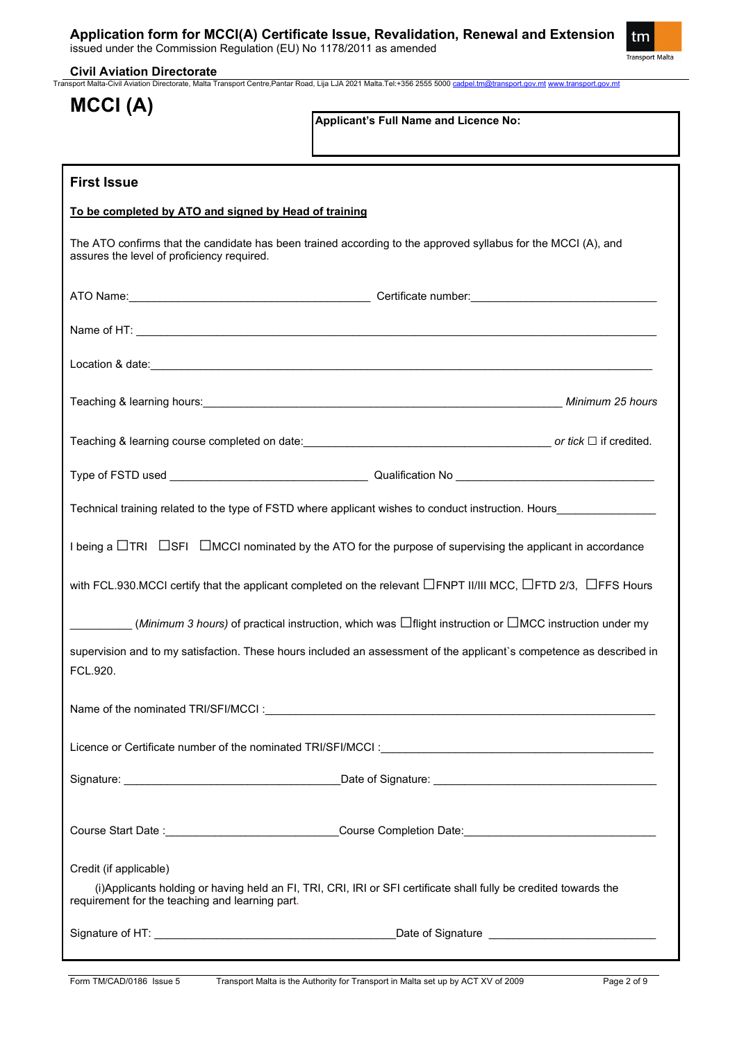

**Civil Aviation Directorate** Transport Malta-Civil Aviation Directorate, Malta Transport Centre,Pantar Road, Lija LJA 2021 Malta.Tel:+356 2555 5000 [cadpel.tm@transport.gov.mt](mailto:cadpel.tm@transport.gov.mt) [www.transport.gov.mt](http://www.transport.gov.mt/)

| MCCI (A)                                              |                                                                                                                                                                                                                                      |
|-------------------------------------------------------|--------------------------------------------------------------------------------------------------------------------------------------------------------------------------------------------------------------------------------------|
|                                                       | Applicant's Full Name and Licence No:                                                                                                                                                                                                |
|                                                       |                                                                                                                                                                                                                                      |
| <b>First Issue</b>                                    |                                                                                                                                                                                                                                      |
| To be completed by ATO and signed by Head of training |                                                                                                                                                                                                                                      |
| assures the level of proficiency required.            | The ATO confirms that the candidate has been trained according to the approved syllabus for the MCCI (A), and                                                                                                                        |
|                                                       |                                                                                                                                                                                                                                      |
|                                                       |                                                                                                                                                                                                                                      |
|                                                       | Location & date: <u>contract and a set of the set of the set of the set of the set of the set of the set of the set of the set of the set of the set of the set of the set of the set of the set of the set of the set of the se</u> |
|                                                       |                                                                                                                                                                                                                                      |
|                                                       |                                                                                                                                                                                                                                      |
|                                                       |                                                                                                                                                                                                                                      |
|                                                       | Technical training related to the type of FSTD where applicant wishes to conduct instruction. Hours                                                                                                                                  |
|                                                       | I being a $\Box$ TRI $\Box$ SFI $\Box$ MCCI nominated by the ATO for the purpose of supervising the applicant in accordance                                                                                                          |
|                                                       | with FCL.930.MCCI certify that the applicant completed on the relevant $\Box$ FNPT II/III MCC, $\Box$ FTD 2/3, $\Box$ FFS Hours                                                                                                      |
|                                                       | _______ ( <i>Minimum 3 hours)</i> of practical instruction, which was $\Box$ flight instruction or $\Box$ MCC instruction under my                                                                                                   |
| FCL.920.                                              | supervision and to my satisfaction. These hours included an assessment of the applicant's competence as described in                                                                                                                 |
|                                                       |                                                                                                                                                                                                                                      |
|                                                       | Licence or Certificate number of the nominated TRI/SFI/MCCI: [1989] [2010] [2010] [2010] [2010] [2010] [2010] [                                                                                                                      |
|                                                       |                                                                                                                                                                                                                                      |
|                                                       |                                                                                                                                                                                                                                      |
|                                                       | Course Start Date :______________________________Course Completion Date:____________________________                                                                                                                                 |
| Credit (if applicable)                                | (i) Applicants holding or having held an FI, TRI, CRI, IRI or SFI certificate shall fully be credited towards the                                                                                                                    |
| requirement for the teaching and learning part.       |                                                                                                                                                                                                                                      |
|                                                       |                                                                                                                                                                                                                                      |
|                                                       |                                                                                                                                                                                                                                      |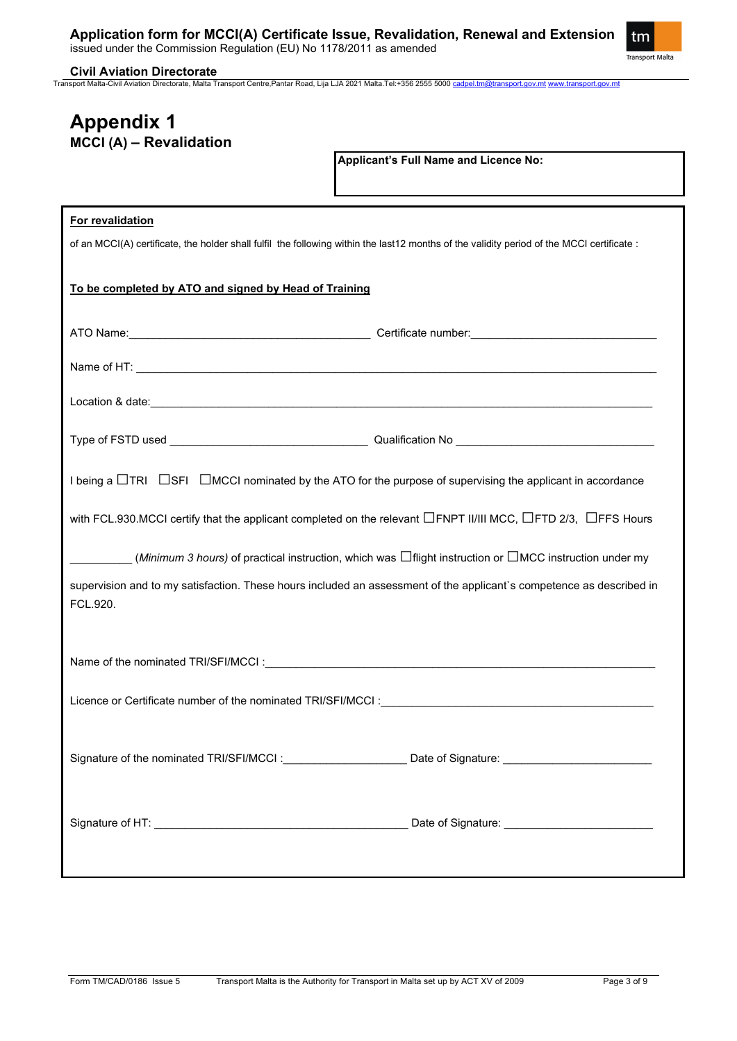

**Civil Aviation Directorate**

Transport Malta-Civil Aviation Directorate, Malta Transport Centre,Pantar Road, Lija LJA 2021 Malta.Tel:+356 2555 5000 [cadpel.tm@transport.gov.mt](mailto:cadpel.tm@transport.gov.mt) [www.transport.gov.mt](http://www.transport.gov.mt/)

# **Appendix 1 MCCI (A) – Revalidation**

**Applicant's Full Name and Licence No:**

### **For revalidation**

of an MCCI(A) certificate, the holder shall fulfil the following within the last12 months of the validity period of the MCCI certificate :

# **To be completed by ATO and signed by Head of Training**

| I being a $\Box$ TRI $\Box$ SFI $\Box$ MCCI nominated by the ATO for the purpose of supervising the applicant in accordance                                                                                                    |  |
|--------------------------------------------------------------------------------------------------------------------------------------------------------------------------------------------------------------------------------|--|
| with FCL.930.MCCI certify that the applicant completed on the relevant $\Box$ FNPT II/III MCC, $\Box$ FTD 2/3, $\Box$ FFS Hours                                                                                                |  |
| ( <i>Minimum 3 hours)</i> of practical instruction, which was $\Box$ flight instruction or $\Box$ MCC instruction under my                                                                                                     |  |
| supervision and to my satisfaction. These hours included an assessment of the applicant's competence as described in<br>FCL.920.                                                                                               |  |
| Name of the nominated TRI/SFI/MCCI: Cambridge Contract Contract Contract Contract Contract Contract Contract Contract Contract Contract Contract Contract Contract Contract Contract Contract Contract Contract Contract Contr |  |
|                                                                                                                                                                                                                                |  |
| Signature of the nominated TRI/SFI/MCCI: __________________________ Date of Signature: _______________________                                                                                                                 |  |
|                                                                                                                                                                                                                                |  |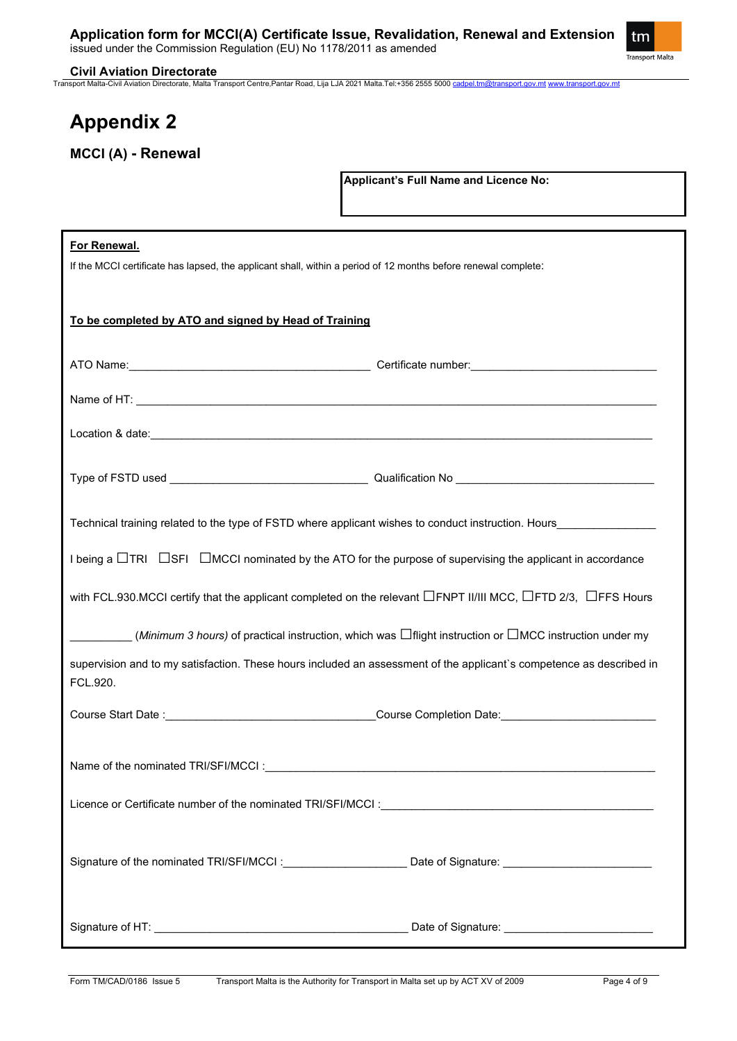

#### **Civil Aviation Directorate**

Transport Malta-Civil Aviation Directorate, Malta Transport Centre,Pantar Road, Lija LJA 2021 Malta.Tel:+356 2555 5000 [cadpel.tm@transport.gov.mt](mailto:cadpel.tm@transport.gov.mt) [www.transport.gov.mt](http://www.transport.gov.mt/)

# **Appendix 2**

**MCCI (A) - Renewal**

**Applicant's Full Name and Licence No:**

| For Renewal.<br>If the MCCI certificate has lapsed, the applicant shall, within a period of 12 months before renewal complete:   |                                                   |  |  |  |
|----------------------------------------------------------------------------------------------------------------------------------|---------------------------------------------------|--|--|--|
| To be completed by ATO and signed by Head of Training                                                                            |                                                   |  |  |  |
|                                                                                                                                  |                                                   |  |  |  |
|                                                                                                                                  |                                                   |  |  |  |
|                                                                                                                                  |                                                   |  |  |  |
|                                                                                                                                  |                                                   |  |  |  |
| Technical training related to the type of FSTD where applicant wishes to conduct instruction. Hours                              |                                                   |  |  |  |
| I being a $\Box$ TRI $\Box$ SFI $\Box$ MCCI nominated by the ATO for the purpose of supervising the applicant in accordance      |                                                   |  |  |  |
| with FCL.930.MCCI certify that the applicant completed on the relevant $\Box$ FNPT II/III MCC, $\Box$ FTD 2/3, $\Box$ FFS Hours  |                                                   |  |  |  |
| ( <i>Minimum 3 hours)</i> of practical instruction, which was $\Box$ flight instruction or $\Box$ MCC instruction under my       |                                                   |  |  |  |
| supervision and to my satisfaction. These hours included an assessment of the applicant's competence as described in<br>FCL.920. |                                                   |  |  |  |
|                                                                                                                                  |                                                   |  |  |  |
|                                                                                                                                  |                                                   |  |  |  |
|                                                                                                                                  |                                                   |  |  |  |
| Signature of the nominated TRI/SFI/MCCI: Calculary Cate of Signature: Calculary Communication Communication Co                   |                                                   |  |  |  |
|                                                                                                                                  | Date of Signature: ______________________________ |  |  |  |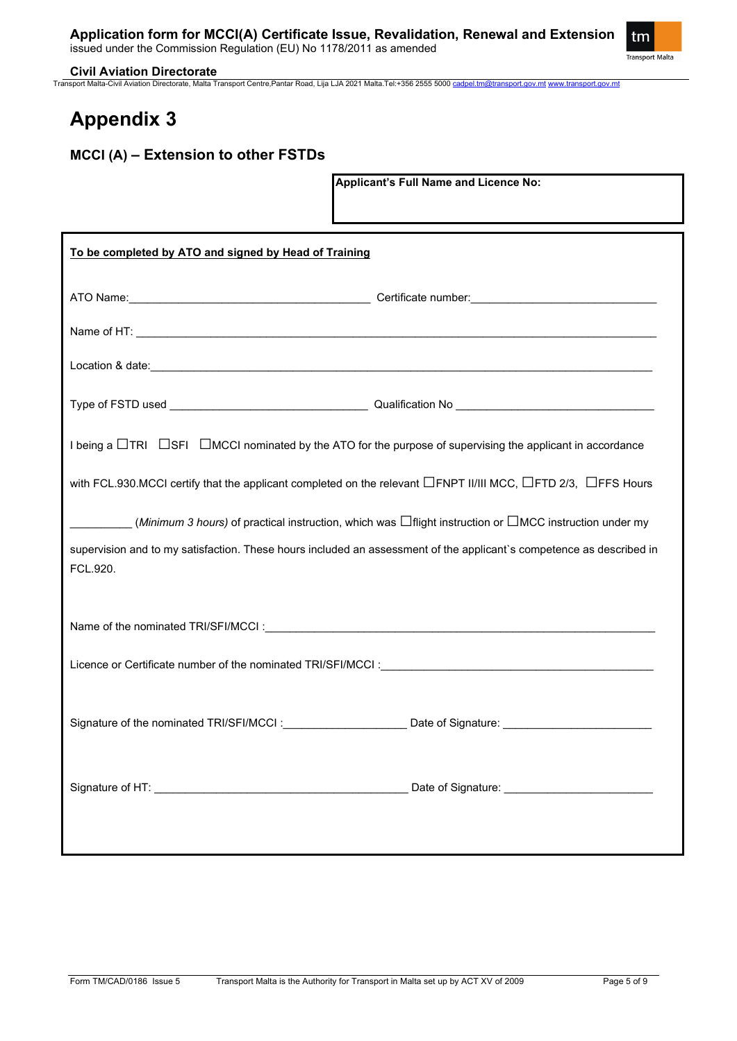

#### **Civil Aviation Directorate**

Transport Malta-Civil Aviation Directorate, Malta Transport Centre,Pantar Road, Lija LJA 2021 Malta.Tel:+356 2555 5000 [cadpel.tm@transport.gov.mt](mailto:cadpel.tm@transport.gov.mt) [www.transport.gov.mt](http://www.transport.gov.mt/)

# **Appendix 3**

# **MCCI (A) – Extension to other FSTDs**

**Applicant's Full Name and Licence No:**

| To be completed by ATO and signed by Head of Training                                                                                                                                                                          |  |  |  |  |  |
|--------------------------------------------------------------------------------------------------------------------------------------------------------------------------------------------------------------------------------|--|--|--|--|--|
|                                                                                                                                                                                                                                |  |  |  |  |  |
|                                                                                                                                                                                                                                |  |  |  |  |  |
|                                                                                                                                                                                                                                |  |  |  |  |  |
|                                                                                                                                                                                                                                |  |  |  |  |  |
| I being a $\Box$ TRI $\Box$ SFI $\Box$ MCCI nominated by the ATO for the purpose of supervising the applicant in accordance                                                                                                    |  |  |  |  |  |
| with FCL.930.MCCI certify that the applicant completed on the relevant □FNPT II/III MCC, □FTD 2/3, □FFS Hours                                                                                                                  |  |  |  |  |  |
| ( <i>Minimum 3 hours)</i> of practical instruction, which was $\Box$ flight instruction or $\Box$ MCC instruction under my                                                                                                     |  |  |  |  |  |
| supervision and to my satisfaction. These hours included an assessment of the applicant's competence as described in<br>FCL.920.                                                                                               |  |  |  |  |  |
|                                                                                                                                                                                                                                |  |  |  |  |  |
| Licence or Certificate number of the nominated TRI/SFI/MCCI : Cambridge Control of the control of the nominated TRI/SFI/MCCI : Cambridge Control of the control of the control of the control of the control of the control of |  |  |  |  |  |
| Signature of the nominated TRI/SFI/MCCI: Date of Signature: Date of Signature:                                                                                                                                                 |  |  |  |  |  |
|                                                                                                                                                                                                                                |  |  |  |  |  |
|                                                                                                                                                                                                                                |  |  |  |  |  |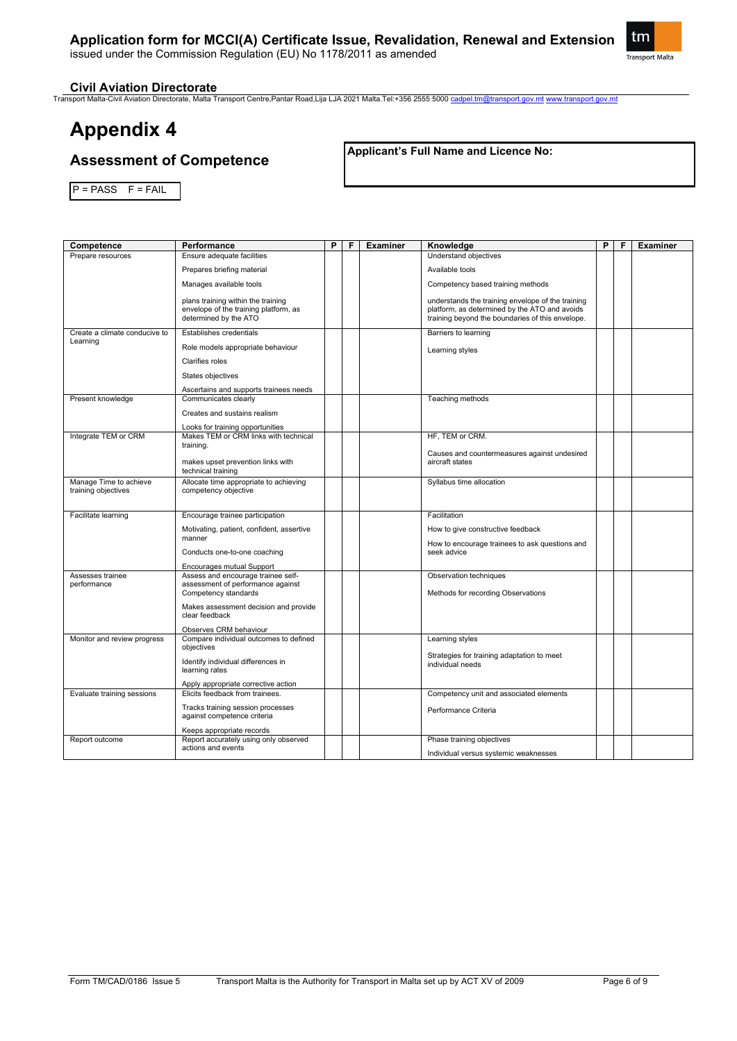# **Application form for MCCI(A) Certificate Issue, Revalidation, Renewal and Extension**

issued under the Commission Regulation (EU) No 1178/2011 as amended



### **Civil Aviation Directorate**

Transport Malta-Civil Aviation Directorate, Malta Transport Centre,Pantar Road,Lija LJA 2021 Malta.Tel:+356 2555 5000 [cadpel.tm@transport.gov.mt](mailto:cadpel.tm@transport.gov.mt) [www.transport.gov.mt](http://www.transport.gov.mt/)

# **Appendix 4**

# **Assessment of Competence**

**Applicant's Full Name and Licence No:**

 $P = PASS$   $F = FAIL$ 

| Competence                                    | Performance                                                                                          | P | F | <b>Examiner</b> | Knowledge                                                                                                                                              | P | F | <b>Examiner</b> |
|-----------------------------------------------|------------------------------------------------------------------------------------------------------|---|---|-----------------|--------------------------------------------------------------------------------------------------------------------------------------------------------|---|---|-----------------|
| Prepare resources                             | Ensure adequate facilities                                                                           |   |   |                 | Understand objectives                                                                                                                                  |   |   |                 |
|                                               | Prepares briefing material                                                                           |   |   |                 | Available tools                                                                                                                                        |   |   |                 |
|                                               | Manages available tools                                                                              |   |   |                 | Competency based training methods                                                                                                                      |   |   |                 |
|                                               | plans training within the training<br>envelope of the training platform, as<br>determined by the ATO |   |   |                 | understands the training envelope of the training<br>platform, as determined by the ATO and avoids<br>training beyond the boundaries of this envelope. |   |   |                 |
| Create a climate conducive to                 | Establishes credentials                                                                              |   |   |                 | Barriers to learning                                                                                                                                   |   |   |                 |
| Learning                                      | Role models appropriate behaviour                                                                    |   |   |                 | Learning styles                                                                                                                                        |   |   |                 |
|                                               | <b>Clarifies roles</b>                                                                               |   |   |                 |                                                                                                                                                        |   |   |                 |
|                                               | States objectives                                                                                    |   |   |                 |                                                                                                                                                        |   |   |                 |
|                                               | Ascertains and supports trainees needs                                                               |   |   |                 |                                                                                                                                                        |   |   |                 |
| Present knowledge                             | Communicates clearly                                                                                 |   |   |                 | Teaching methods                                                                                                                                       |   |   |                 |
|                                               | Creates and sustains realism                                                                         |   |   |                 |                                                                                                                                                        |   |   |                 |
|                                               | Looks for training opportunities                                                                     |   |   |                 |                                                                                                                                                        |   |   |                 |
| Integrate TEM or CRM                          | Makes TEM or CRM links with technical<br>training.                                                   |   |   |                 | HF, TEM or CRM.                                                                                                                                        |   |   |                 |
|                                               | makes upset prevention links with<br>technical training                                              |   |   |                 | Causes and countermeasures against undesired<br>aircraft states                                                                                        |   |   |                 |
| Manage Time to achieve<br>training objectives | Allocate time appropriate to achieving<br>competency objective                                       |   |   |                 | Syllabus time allocation                                                                                                                               |   |   |                 |
|                                               |                                                                                                      |   |   |                 |                                                                                                                                                        |   |   |                 |
| Facilitate learning                           | Encourage trainee participation                                                                      |   |   |                 | Facilitation                                                                                                                                           |   |   |                 |
|                                               | Motivating, patient, confident, assertive                                                            |   |   |                 | How to give constructive feedback                                                                                                                      |   |   |                 |
|                                               | manner<br>Conducts one-to-one coaching                                                               |   |   |                 | How to encourage trainees to ask questions and<br>seek advice                                                                                          |   |   |                 |
|                                               |                                                                                                      |   |   |                 |                                                                                                                                                        |   |   |                 |
| Assesses trainee                              | Encourages mutual Support<br>Assess and encourage trainee self-                                      |   |   |                 | Observation techniques                                                                                                                                 |   |   |                 |
| performance                                   | assessment of performance against                                                                    |   |   |                 |                                                                                                                                                        |   |   |                 |
|                                               | Competency standards                                                                                 |   |   |                 | Methods for recording Observations                                                                                                                     |   |   |                 |
|                                               | Makes assessment decision and provide<br>clear feedback                                              |   |   |                 |                                                                                                                                                        |   |   |                 |
|                                               | Observes CRM behaviour                                                                               |   |   |                 |                                                                                                                                                        |   |   |                 |
| Monitor and review progress                   | Compare individual outcomes to defined<br>objectives                                                 |   |   |                 | Learning styles                                                                                                                                        |   |   |                 |
|                                               |                                                                                                      |   |   |                 | Strategies for training adaptation to meet                                                                                                             |   |   |                 |
|                                               | Identify individual differences in<br>learning rates                                                 |   |   |                 | individual needs                                                                                                                                       |   |   |                 |
|                                               | Apply appropriate corrective action                                                                  |   |   |                 |                                                                                                                                                        |   |   |                 |
| Evaluate training sessions                    | Elicits feedback from trainees.                                                                      |   |   |                 | Competency unit and associated elements                                                                                                                |   |   |                 |
|                                               | Tracks training session processes                                                                    |   |   |                 | Performance Criteria                                                                                                                                   |   |   |                 |
|                                               | against competence criteria                                                                          |   |   |                 |                                                                                                                                                        |   |   |                 |
|                                               | Keeps appropriate records                                                                            |   |   |                 |                                                                                                                                                        |   |   |                 |
| Report outcome                                | Report accurately using only observed<br>actions and events                                          |   |   |                 | Phase training objectives                                                                                                                              |   |   |                 |
|                                               |                                                                                                      |   |   |                 | Individual versus systemic weaknesses                                                                                                                  |   |   |                 |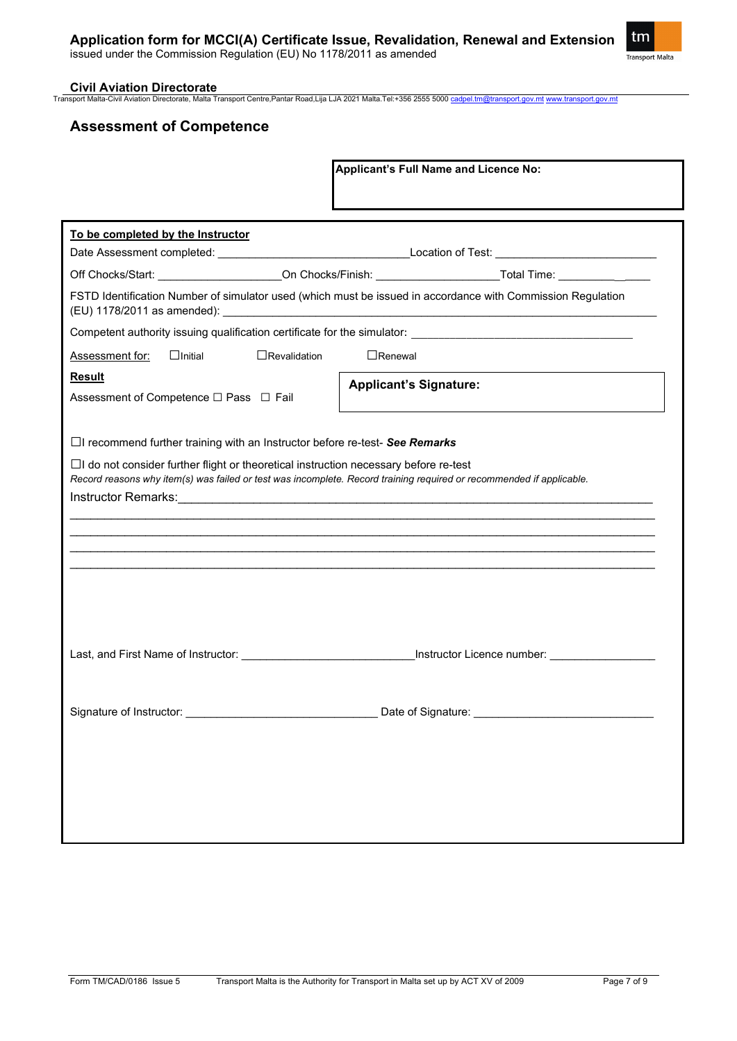### **Civil Aviation Directorate**

Transport Malta-Civil Aviation Directorate, Malta Transport Centre,Pantar Road,Lija LJA 2021 Malta.Tel:+356 2555 5000 [cadpel.tm@transport.gov.mt](mailto:cadpel.tm@transport.gov.mt) [www.transport.gov.mt](http://www.transport.gov.mt/)

# **Assessment of Competence**

|                                                                                                                                                                                                                     | <b>Applicant's Full Name and Licence No:</b>                                                                   |
|---------------------------------------------------------------------------------------------------------------------------------------------------------------------------------------------------------------------|----------------------------------------------------------------------------------------------------------------|
| To be completed by the Instructor                                                                                                                                                                                   |                                                                                                                |
|                                                                                                                                                                                                                     | Off Chocks/Start: ____________________On Chocks/Finish: ______________________Total Time: ________________     |
|                                                                                                                                                                                                                     | FSTD Identification Number of simulator used (which must be issued in accordance with Commission Regulation    |
|                                                                                                                                                                                                                     |                                                                                                                |
| $\Box$ Revalidation<br>$\Box$ Initial<br><b>Assessment for:</b>                                                                                                                                                     | $\Box$ Renewal                                                                                                 |
| <b>Result</b><br>Assessment of Competence □ Pass □ Fail                                                                                                                                                             | <b>Applicant's Signature:</b>                                                                                  |
| $\Box$ I recommend further training with an Instructor before re-test- See Remarks                                                                                                                                  |                                                                                                                |
| $\Box$ I do not consider further flight or theoretical instruction necessary before re-test<br>Record reasons why item(s) was failed or test was incomplete. Record training required or recommended if applicable. |                                                                                                                |
|                                                                                                                                                                                                                     |                                                                                                                |
|                                                                                                                                                                                                                     | Last, and First Name of Instructor: ___________________________________Instructor Licence number: ____________ |
| Signature of Instructor:                                                                                                                                                                                            | Date of Signature:                                                                                             |
|                                                                                                                                                                                                                     |                                                                                                                |
|                                                                                                                                                                                                                     |                                                                                                                |

tm Transport Malta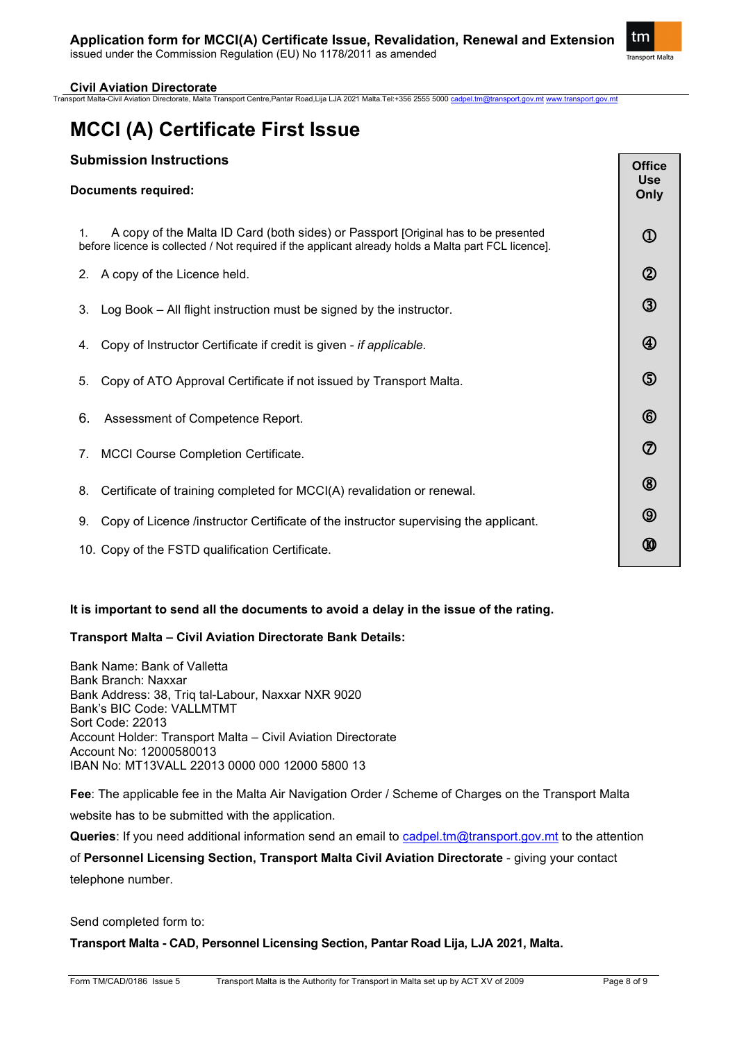

### **Civil Aviation Directorate**

Transport Malta-Civil Aviation Directorate, Malta Transport Centre,Pantar Road,Lija LJA 2021 Malta.Tel:+356 2555 5000 [cadpel.tm@transport.gov.mt](mailto:cadpel.tm@transport.gov.mt) [www.transport.gov.mt](http://www.transport.gov.mt/)

# **MCCI (A) Certificate First Issue**

# **Submission Instructions**

| <b>Submission Instructions</b><br><b>Documents required:</b>                                                                                                                                    | <b>Office</b><br><b>Use</b><br>Only |
|-------------------------------------------------------------------------------------------------------------------------------------------------------------------------------------------------|-------------------------------------|
| A copy of the Malta ID Card (both sides) or Passport [Original has to be presented<br>1.<br>before licence is collected / Not required if the applicant already holds a Malta part FCL licence. | $^{\circledR}$                      |
| A copy of the Licence held.<br>2.                                                                                                                                                               | $^{\circledR}$                      |
| Log Book - All flight instruction must be signed by the instructor.<br>3.                                                                                                                       | $^\circledR$                        |
| Copy of Instructor Certificate if credit is given - if applicable.<br>4.                                                                                                                        | $^{\circledR}$                      |
| Copy of ATO Approval Certificate if not issued by Transport Malta.<br>5.                                                                                                                        | $\circledS$                         |
| 6.<br>Assessment of Competence Report.                                                                                                                                                          | $^{\circledR}$                      |
| <b>MCCI Course Completion Certificate.</b><br>7.                                                                                                                                                | $^\circledR$                        |
| Certificate of training completed for MCCI(A) revalidation or renewal.<br>8.                                                                                                                    | $^{\circledR}$                      |
| Copy of Licence /instructor Certificate of the instructor supervising the applicant.<br>9.                                                                                                      | $^{\circledR}$                      |
| 10. Copy of the FSTD qualification Certificate.                                                                                                                                                 | ⅏                                   |

### **It is important to send all the documents to avoid a delay in the issue of the rating.**

### **Transport Malta – Civil Aviation Directorate Bank Details:**

Bank Name: Bank of Valletta Bank Branch: Naxxar Bank Address: 38, Triq tal-Labour, Naxxar NXR 9020 Bank's BIC Code: VALLMTMT Sort Code: 22013 Account Holder: Transport Malta – Civil Aviation Directorate Account No: 12000580013 IBAN No: MT13VALL 22013 0000 000 12000 5800 13

**Fee**: The applicable fee in the Malta Air Navigation Order / Scheme of Charges on the Transport Malta website has to be submitted with the application.

**Queries**: If you need additional information send an email to [cadpel.tm@transport.gov.mt](mailto:cadpel.tm@transport.gov.mt) to the attention

of **Personnel Licensing Section, Transport Malta Civil Aviation Directorate** - giving your contact telephone number.

Send completed form to:

**Transport Malta - CAD, Personnel Licensing Section, Pantar Road Lija, LJA 2021, Malta.**